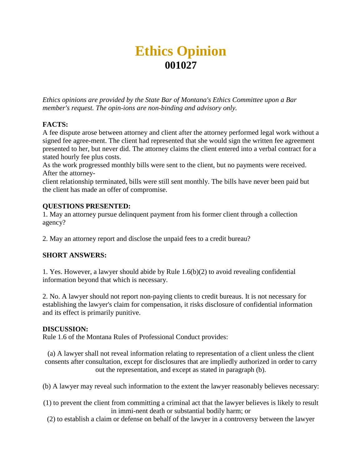# **Ethics Opinion 001027**

*Ethics opinions are provided by the State Bar of Montana's Ethics Committee upon a Bar member's request. The opin-ions are non-binding and advisory only.*

## **FACTS:**

A fee dispute arose between attorney and client after the attorney performed legal work without a signed fee agree-ment. The client had represented that she would sign the written fee agreement presented to her, but never did. The attorney claims the client entered into a verbal contract for a stated hourly fee plus costs.

As the work progressed monthly bills were sent to the client, but no payments were received. After the attorney-

client relationship terminated, bills were still sent monthly. The bills have never been paid but the client has made an offer of compromise.

## **QUESTIONS PRESENTED:**

1. May an attorney pursue delinquent payment from his former client through a collection agency?

2. May an attorney report and disclose the unpaid fees to a credit bureau?

# **SHORT ANSWERS:**

1. Yes. However, a lawyer should abide by Rule 1.6(b)(2) to avoid revealing confidential information beyond that which is necessary.

2. No. A lawyer should not report non-paying clients to credit bureaus. It is not necessary for establishing the lawyer's claim for compensation, it risks disclosure of confidential information and its effect is primarily punitive.

## **DISCUSSION:**

Rule 1.6 of the Montana Rules of Professional Conduct provides:

(a) A lawyer shall not reveal information relating to representation of a client unless the client consents after consultation, except for disclosures that are impliedly authorized in order to carry out the representation, and except as stated in paragraph (b).

(b) A lawyer may reveal such information to the extent the lawyer reasonably believes necessary:

- (1) to prevent the client from committing a criminal act that the lawyer believes is likely to result in immi-nent death or substantial bodily harm; or
	- (2) to establish a claim or defense on behalf of the lawyer in a controversy between the lawyer